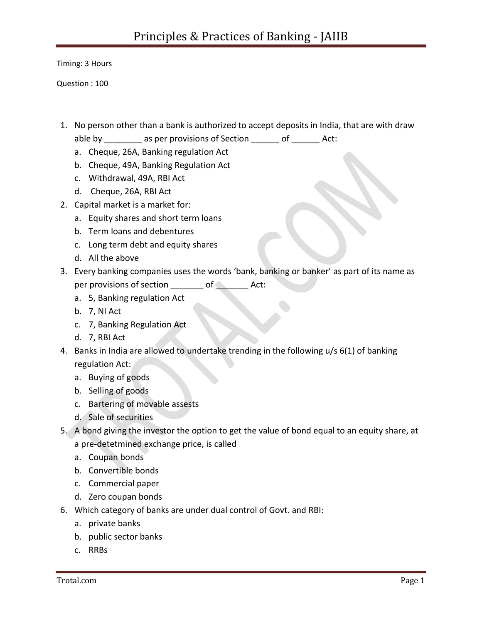Timing: 3 Hours

Question : 100

- 1. No person other than a bank is authorized to accept deposits in India, that are with draw
	- able by \_\_\_\_\_\_\_\_ as per provisions of Section \_\_\_\_\_\_ of \_\_\_\_\_\_ Act:
	- a. Cheque, 26A, Banking regulation Act
	- b. Cheque, 49A, Banking Regulation Act
	- c. Withdrawal, 49A, RBI Act
	- d. Cheque, 26A, RBI Act
- 2. Capital market is a market for:
	- a. Equity shares and short term loans
	- b. Term loans and debentures
	- c. Long term debt and equity shares
	- d. All the above
- 3. Every banking companies uses the words 'bank, banking or banker' as part of its name as per provisions of section \_\_\_\_\_\_\_ of \_\_\_\_\_\_\_ Act:
	- a. 5, Banking regulation Act
	- b. 7, NI Act
	- c. 7, Banking Regulation Act
	- d. 7, RBI Act
- 4. Banks in India are allowed to undertake trending in the following u/s 6(1) of banking regulation Act:
	- a. Buying of goods
	- b. Selling of goods
	- c. Bartering of movable assests
	- d. Sale of securities
- 5. A bond giving the investor the option to get the value of bond equal to an equity share, at a pre-detetmined exchange price, is called
	- a. Coupan bonds
	- b. Convertible bonds
	- c. Commercial paper
	- d. Zero coupan bonds
- 6. Which category of banks are under dual control of Govt. and RBI:
	- a. private banks
	- b. public sector banks
	- c. RRBs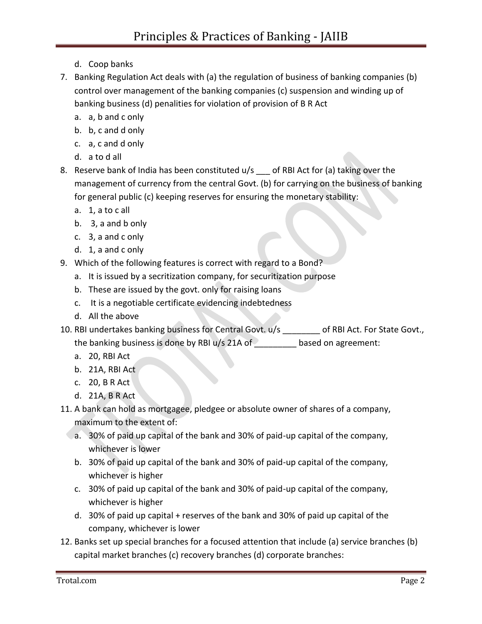- d. Coop banks
- 7. Banking Regulation Act deals with (a) the regulation of business of banking companies (b) control over management of the banking companies (c) suspension and winding up of banking business (d) penalities for violation of provision of B R Act
	- a. a, b and c only
	- b. b, c and d only
	- c. a, c and d only
	- d. a to d all
- 8. Reserve bank of India has been constituted u/s of RBI Act for (a) taking over the management of currency from the central Govt. (b) for carrying on the business of banking for general public (c) keeping reserves for ensuring the monetary stability:
	- a. 1, a to c all
	- b. 3, a and b only
	- c. 3, a and c only
	- d. 1, a and c only
- 9. Which of the following features is correct with regard to a Bond?
	- a. It is issued by a secritization company, for securitization purpose
	- b. These are issued by the govt. only for raising loans
	- c. It is a negotiable certificate evidencing indebtedness
	- d. All the above
- 10. RBI undertakes banking business for Central Govt. u/s \_\_\_\_\_\_\_\_ of RBI Act. For State Govt., the banking business is done by RBI  $u/s$  21A of based on agreement:
	- a. 20, RBI Act
	- b. 21A, RBI Act
	- c. 20, B R Act
	- d. 21A, B R Act
- 11. A bank can hold as mortgagee, pledgee or absolute owner of shares of a company, maximum to the extent of:
	- a. 30% of paid up capital of the bank and 30% of paid-up capital of the company, whichever is lower
	- b. 30% of paid up capital of the bank and 30% of paid-up capital of the company, whichever is higher
	- c. 30% of paid up capital of the bank and 30% of paid-up capital of the company, whichever is higher
	- d. 30% of paid up capital + reserves of the bank and 30% of paid up capital of the company, whichever is lower
- 12. Banks set up special branches for a focused attention that include (a) service branches (b) capital market branches (c) recovery branches (d) corporate branches: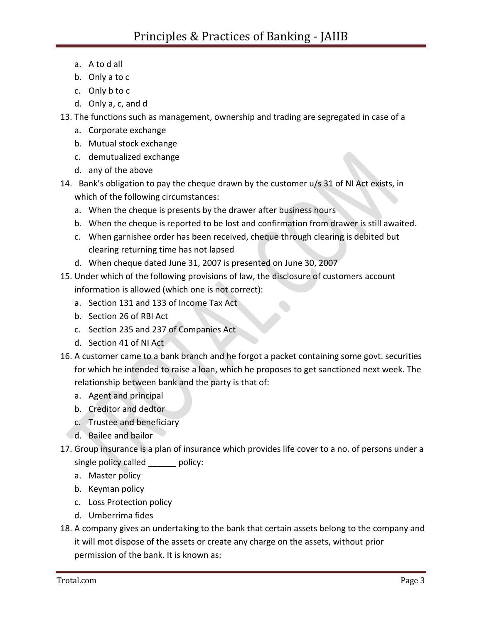- a. A to d all
- b. Only a to c
- c. Only b to c
- d. Only a, c, and d
- 13. The functions such as management, ownership and trading are segregated in case of a
	- a. Corporate exchange
	- b. Mutual stock exchange
	- c. demutualized exchange
	- d. any of the above
- 14. Bank's obligation to pay the cheque drawn by the customer u/s 31 of NI Act exists, in which of the following circumstances:
	- a. When the cheque is presents by the drawer after business hours
	- b. When the cheque is reported to be lost and confirmation from drawer is still awaited.
	- c. When garnishee order has been received, cheque through clearing is debited but clearing returning time has not lapsed
	- d. When cheque dated June 31, 2007 is presented on June 30, 2007
- 15. Under which of the following provisions of law, the disclosure of customers account information is allowed (which one is not correct):
	- a. Section 131 and 133 of Income Tax Act
	- b. Section 26 of RBI Act
	- c. Section 235 and 237 of Companies Act
	- d. Section 41 of NI Act
- 16. A customer came to a bank branch and he forgot a packet containing some govt. securities for which he intended to raise a loan, which he proposes to get sanctioned next week. The relationship between bank and the party is that of:
	- a. Agent and principal
	- b. Creditor and dedtor
	- c. Trustee and beneficiary
	- d. Bailee and bailor
- 17. Group insurance is a plan of insurance which provides life cover to a no. of persons under a single policy called bolicy:
	- a. Master policy
	- b. Keyman policy
	- c. Loss Protection policy
	- d. Umberrima fides
- 18. A company gives an undertaking to the bank that certain assets belong to the company and it will mot dispose of the assets or create any charge on the assets, without prior permission of the bank. It is known as: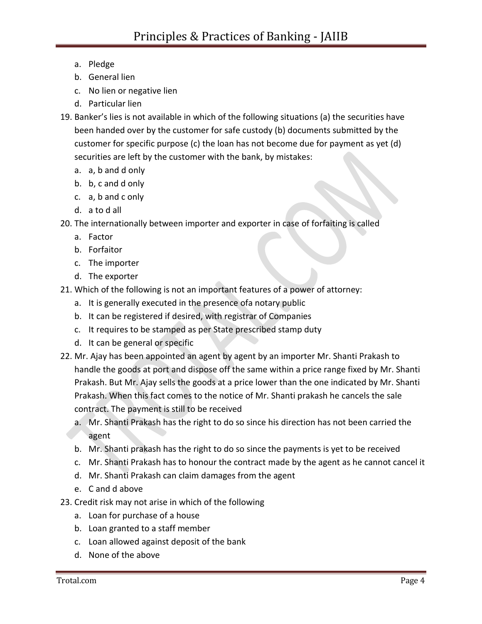- a. Pledge
- b. General lien
- c. No lien or negative lien
- d. Particular lien
- 19. Banker's lies is not available in which of the following situations (a) the securities have been handed over by the customer for safe custody (b) documents submitted by the customer for specific purpose (c) the loan has not become due for payment as yet (d) securities are left by the customer with the bank, by mistakes:
	- a. a, b and d only
	- b. b, c and d only
	- c. a, b and c only
	- d. a to d all
- 20. The internationally between importer and exporter in case of forfaiting is called
	- a. Factor
	- b. Forfaitor
	- c. The importer
	- d. The exporter
- 21. Which of the following is not an important features of a power of attorney:
	- a. It is generally executed in the presence ofa notary public
	- b. It can be registered if desired, with registrar of Companies
	- c. It requires to be stamped as per State prescribed stamp duty
	- d. It can be general or specific
- 22. Mr. Ajay has been appointed an agent by agent by an importer Mr. Shanti Prakash to handle the goods at port and dispose off the same within a price range fixed by Mr. Shanti Prakash. But Mr. Ajay sells the goods at a price lower than the one indicated by Mr. Shanti Prakash. When this fact comes to the notice of Mr. Shanti prakash he cancels the sale contract. The payment is still to be received
	- a. Mr. Shanti Prakash has the right to do so since his direction has not been carried the agent
	- b. Mr. Shanti prakash has the right to do so since the payments is yet to be received
	- c. Mr. Shanti Prakash has to honour the contract made by the agent as he cannot cancel it
	- d. Mr. Shanti Prakash can claim damages from the agent
	- e. C and d above
- 23. Credit risk may not arise in which of the following
	- a. Loan for purchase of a house
	- b. Loan granted to a staff member
	- c. Loan allowed against deposit of the bank
	- d. None of the above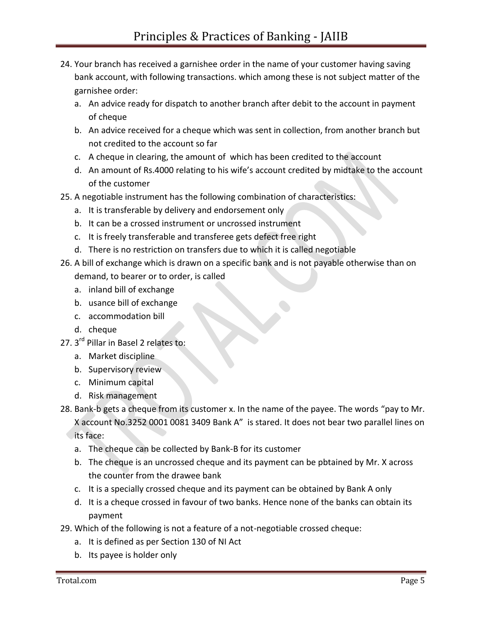- 24. Your branch has received a garnishee order in the name of your customer having saving bank account, with following transactions. which among these is not subject matter of the garnishee order:
	- a. An advice ready for dispatch to another branch after debit to the account in payment of cheque
	- b. An advice received for a cheque which was sent in collection, from another branch but not credited to the account so far
	- c. A cheque in clearing, the amount of which has been credited to the account
	- d. An amount of Rs.4000 relating to his wife's account credited by midtake to the account of the customer
- 25. A negotiable instrument has the following combination of characteristics:
	- a. It is transferable by delivery and endorsement only
	- b. It can be a crossed instrument or uncrossed instrument
	- c. It is freely transferable and transferee gets defect free right
	- d. There is no restriction on transfers due to which it is called negotiable
- 26. A bill of exchange which is drawn on a specific bank and is not payable otherwise than on demand, to bearer or to order, is called
	- a. inland bill of exchange
	- b. usance bill of exchange
	- c. accommodation bill
	- d. cheque
- 27. 3<sup>rd</sup> Pillar in Basel 2 relates to:
	- a. Market discipline
	- b. Supervisory review
	- c. Minimum capital
	- d. Risk management
- 28. Bank-b gets a cheque from its customer x. In the name of the payee. The words "pay to Mr. X account No.3252 0001 0081 3409 Bank A" is stared. It does not bear two parallel lines on its face:
	- a. The cheque can be collected by Bank-B for its customer
	- b. The cheque is an uncrossed cheque and its payment can be pbtained by Mr. X across the counter from the drawee bank
	- c. It is a specially crossed cheque and its payment can be obtained by Bank A only
	- d. It is a cheque crossed in favour of two banks. Hence none of the banks can obtain its payment
- 29. Which of the following is not a feature of a not-negotiable crossed cheque:
	- a. It is defined as per Section 130 of NI Act
	- b. Its payee is holder only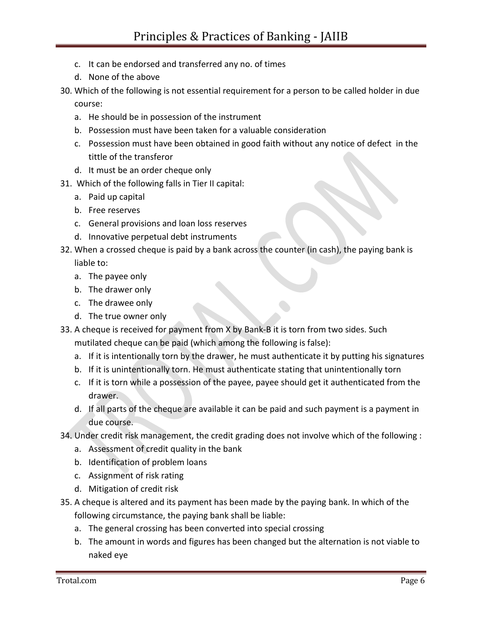- c. It can be endorsed and transferred any no. of times
- d. None of the above
- 30. Which of the following is not essential requirement for a person to be called holder in due course:
	- a. He should be in possession of the instrument
	- b. Possession must have been taken for a valuable consideration
	- c. Possession must have been obtained in good faith without any notice of defect in the tittle of the transferor
	- d. It must be an order cheque only
- 31. Which of the following falls in Tier II capital:
	- a. Paid up capital
	- b. Free reserves
	- c. General provisions and loan loss reserves
	- d. Innovative perpetual debt instruments
- 32. When a crossed cheque is paid by a bank across the counter (in cash), the paying bank is liable to:
	- a. The payee only
	- b. The drawer only
	- c. The drawee only
	- d. The true owner only
- 33. A cheque is received for payment from X by Bank-B it is torn from two sides. Such mutilated cheque can be paid (which among the following is false):
	- a. If it is intentionally torn by the drawer, he must authenticate it by putting his signatures
	- b. If it is unintentionally torn. He must authenticate stating that unintentionally torn
	- c. If it is torn while a possession of the payee, payee should get it authenticated from the drawer.
	- d. If all parts of the cheque are available it can be paid and such payment is a payment in due course.
- 34. Under credit risk management, the credit grading does not involve which of the following :
	- a. Assessment of credit quality in the bank
	- b. Identification of problem loans
	- c. Assignment of risk rating
	- d. Mitigation of credit risk
- 35. A cheque is altered and its payment has been made by the paying bank. In which of the following circumstance, the paying bank shall be liable:
	- a. The general crossing has been converted into special crossing
	- b. The amount in words and figures has been changed but the alternation is not viable to naked eye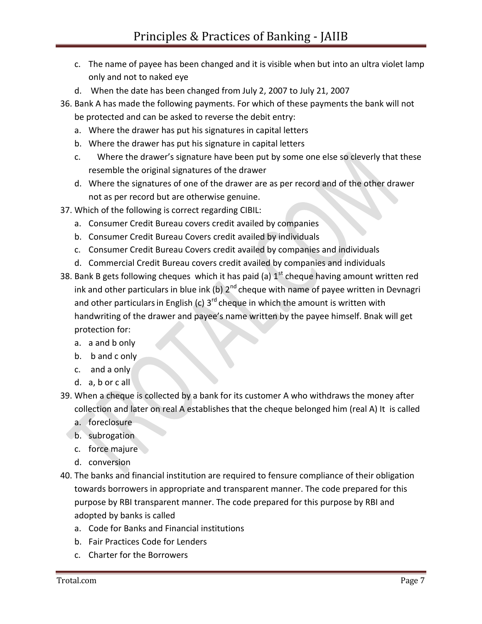- c. The name of payee has been changed and it is visible when but into an ultra violet lamp only and not to naked eye
- d. When the date has been changed from July 2, 2007 to July 21, 2007
- 36. Bank A has made the following payments. For which of these payments the bank will not be protected and can be asked to reverse the debit entry:
	- a. Where the drawer has put his signatures in capital letters
	- b. Where the drawer has put his signature in capital letters
	- c. Where the drawer's signature have been put by some one else so cleverly that these resemble the original signatures of the drawer
	- d. Where the signatures of one of the drawer are as per record and of the other drawer not as per record but are otherwise genuine.
- 37. Which of the following is correct regarding CIBIL:
	- a. Consumer Credit Bureau covers credit availed by companies
	- b. Consumer Credit Bureau Covers credit availed by individuals
	- c. Consumer Credit Bureau Covers credit availed by companies and individuals
	- d. Commercial Credit Bureau covers credit availed by companies and individuals
- 38. Bank B gets following cheques which it has paid (a)  $1<sup>st</sup>$  cheque having amount written red ink and other particulars in blue ink (b)  $2^{nd}$  cheque with name of payee written in Devnagri and other particulars in English (c)  $3^{rd}$  cheque in which the amount is written with handwriting of the drawer and payee's name written by the payee himself. Bnak will get protection for:
	- a. a and b only
	- b. b and c only
	- c. and a only
	- d. a, b or c all
- 39. When a cheque is collected by a bank for its customer A who withdraws the money after collection and later on real A establishes that the cheque belonged him (real A) It is called
	- a. foreclosure
	- b. subrogation
	- c. force majure
	- d. conversion
- 40. The banks and financial institution are required to fensure compliance of their obligation towards borrowers in appropriate and transparent manner. The code prepared for this purpose by RBI transparent manner. The code prepared for this purpose by RBI and adopted by banks is called
	- a. Code for Banks and Financial institutions
	- b. Fair Practices Code for Lenders
	- c. Charter for the Borrowers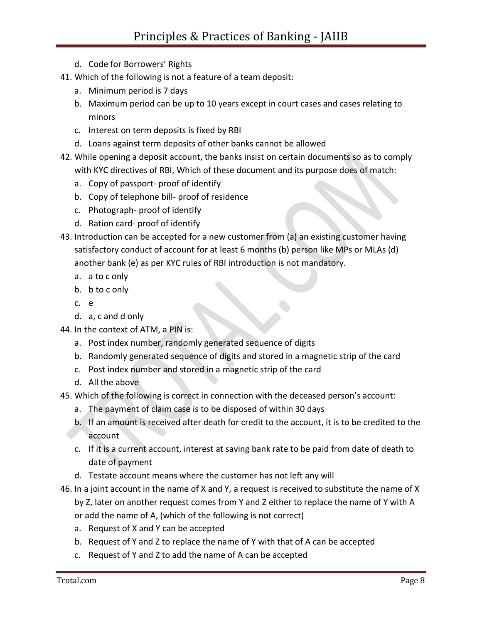- d. Code for Borrowers' Rights
- 41. Which of the following is not a feature of a team deposit:
	- a. Minimum period is 7 days
	- b. Maximum period can be up to 10 years except in court cases and cases relating to minors
	- c. Interest on term deposits is fixed by RBI
	- d. Loans against term deposits of other banks cannot be allowed
- 42. While opening a deposit account, the banks insist on certain documents so as to comply with KYC directives of RBI, Which of these document and its purpose does of match:
	- a. Copy of passport- proof of identify
	- b. Copy of telephone bill- proof of residence
	- c. Photograph- proof of identify
	- d. Ration card- proof of identify
- 43. Introduction can be accepted for a new customer from (a) an existing customer having satisfactory conduct of account for at least 6 months (b) person like MPs or MLAs (d) another bank (e) as per KYC rules of RBI introduction is not mandatory.
	- a. a to c only
	- b. b to c only
	- c. e
	- d. a, c and d only
- 44. In the context of ATM, a PIN is:
	- a. Post index number, randomly generated sequence of digits
	- b. Randomly generated sequence of digits and stored in a magnetic strip of the card
	- c. Post index number and stored in a magnetic strip of the card
	- d. All the above
- 45. Which of the following is correct in connection with the deceased person's account:
	- a. The payment of claim case is to be disposed of within 30 days
	- b. If an amount is received after death for credit to the account, it is to be credited to the account
	- c. If it is a current account, interest at saving bank rate to be paid from date of death to date of payment
	- d. Testate account means where the customer has not left any will
- 46. In a joint account in the name of X and Y, a request is received to substitute the name of X by Z, later on another request comes from Y and Z either to replace the name of Y with A
	- or add the name of A, (which of the following is not correct)
	- a. Request of X and Y can be accepted
	- b. Request of Y and Z to replace the name of Y with that of A can be accepted
	- c. Request of Y and Z to add the name of A can be accepted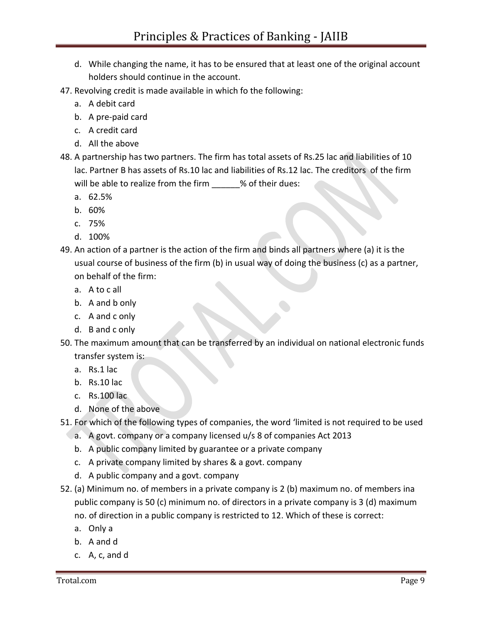- d. While changing the name, it has to be ensured that at least one of the original account holders should continue in the account.
- 47. Revolving credit is made available in which fo the following:
	- a. A debit card
	- b. A pre-paid card
	- c. A credit card
	- d. All the above
- 48. A partnership has two partners. The firm has total assets of Rs.25 lac and liabilities of 10 lac. Partner B has assets of Rs.10 lac and liabilities of Rs.12 lac. The creditors of the firm will be able to realize from the firm \_\_\_\_\_\_% of their dues:
	- a. 62.5%
	- b. 60%
	- c. 75%
	- d. 100%
- 49. An action of a partner is the action of the firm and binds all partners where (a) it is the usual course of business of the firm (b) in usual way of doing the business (c) as a partner, on behalf of the firm:
	- a. A to c all
	- b. A and b only
	- c. A and c only
	- d. B and c only
- 50. The maximum amount that can be transferred by an individual on national electronic funds transfer system is:
	- a. Rs.1 lac
	- b. Rs.10 lac
	- c. Rs.100 lac
	- d. None of the above
- 51. For which of the following types of companies, the word 'limited is not required to be used
	- a. A govt. company or a company licensed u/s 8 of companies Act 2013
	- b. A public company limited by guarantee or a private company
	- c. A private company limited by shares & a govt. company
	- d. A public company and a govt. company
- 52. (a) Minimum no. of members in a private company is 2 (b) maximum no. of members ina public company is 50 (c) minimum no. of directors in a private company is 3 (d) maximum no. of direction in a public company is restricted to 12. Which of these is correct:
	- a. Only a
	- b. A and d
	- c. A, c, and d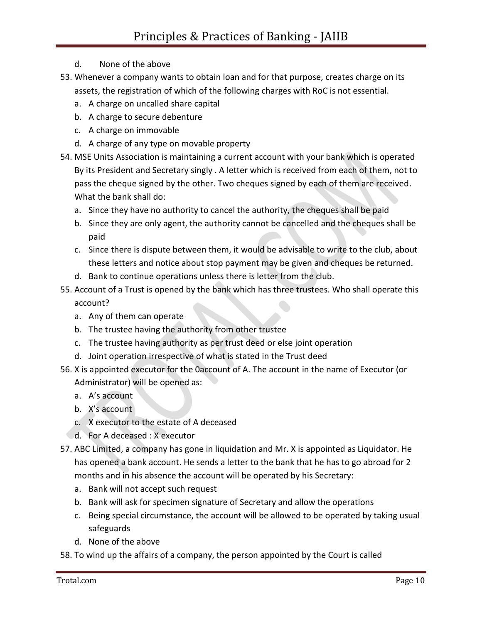- d. None of the above
- 53. Whenever a company wants to obtain loan and for that purpose, creates charge on its assets, the registration of which of the following charges with RoC is not essential.
	- a. A charge on uncalled share capital
	- b. A charge to secure debenture
	- c. A charge on immovable
	- d. A charge of any type on movable property
- 54. MSE Units Association is maintaining a current account with your bank which is operated By its President and Secretary singly . A letter which is received from each of them, not to pass the cheque signed by the other. Two cheques signed by each of them are received. What the bank shall do:
	- a. Since they have no authority to cancel the authority, the cheques shall be paid
	- b. Since they are only agent, the authority cannot be cancelled and the cheques shall be paid
	- c. Since there is dispute between them, it would be advisable to write to the club, about these letters and notice about stop payment may be given and cheques be returned.
	- d. Bank to continue operations unless there is letter from the club.
- 55. Account of a Trust is opened by the bank which has three trustees. Who shall operate this account?
	- a. Any of them can operate
	- b. The trustee having the authority from other trustee
	- c. The trustee having authority as per trust deed or else joint operation
	- d. Joint operation irrespective of what is stated in the Trust deed
- 56. X is appointed executor for the 0account of A. The account in the name of Executor (or Administrator) will be opened as:
	- a. A's account
	- b. X's account
	- c. X executor to the estate of A deceased
	- d. For A deceased : X executor
- 57. ABC Limited, a company has gone in liquidation and Mr. X is appointed as Liquidator. He has opened a bank account. He sends a letter to the bank that he has to go abroad for 2 months and in his absence the account will be operated by his Secretary:
	- a. Bank will not accept such request
	- b. Bank will ask for specimen signature of Secretary and allow the operations
	- c. Being special circumstance, the account will be allowed to be operated by taking usual safeguards
	- d. None of the above
- 58. To wind up the affairs of a company, the person appointed by the Court is called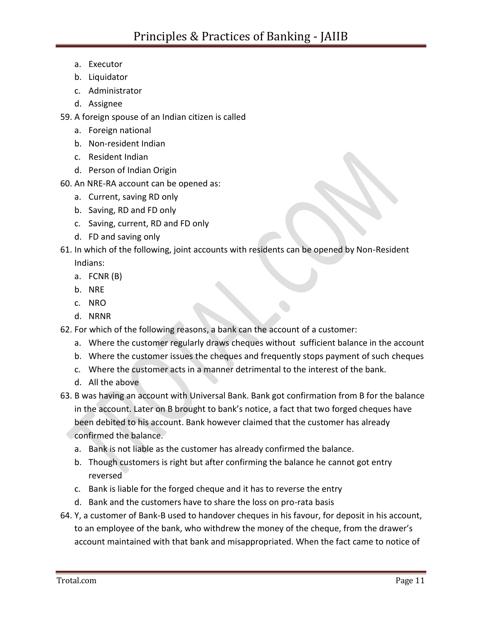- a. Executor
- b. Liquidator
- c. Administrator
- d. Assignee
- 59. A foreign spouse of an Indian citizen is called
	- a. Foreign national
	- b. Non-resident Indian
	- c. Resident Indian
	- d. Person of Indian Origin
- 60. An NRE-RA account can be opened as:
	- a. Current, saving RD only
	- b. Saving, RD and FD only
	- c. Saving, current, RD and FD only
	- d. FD and saving only
- 61. In which of the following, joint accounts with residents can be opened by Non-Resident Indians:
	- a. FCNR (B)
	- b. NRE
	- c. NRO
	- d. NRNR
- 62. For which of the following reasons, a bank can the account of a customer:
	- a. Where the customer regularly draws cheques without sufficient balance in the account
	- b. Where the customer issues the cheques and frequently stops payment of such cheques
	- c. Where the customer acts in a manner detrimental to the interest of the bank.
	- d. All the above
- 63. B was having an account with Universal Bank. Bank got confirmation from B for the balance in the account. Later on B brought to bank's notice, a fact that two forged cheques have been debited to his account. Bank however claimed that the customer has already confirmed the balance.
	- a. Bank is not liable as the customer has already confirmed the balance.
	- b. Though customers is right but after confirming the balance he cannot got entry reversed
	- c. Bank is liable for the forged cheque and it has to reverse the entry
	- d. Bank and the customers have to share the loss on pro-rata basis
- 64. Y, a customer of Bank-B used to handover cheques in his favour, for deposit in his account, to an employee of the bank, who withdrew the money of the cheque, from the drawer's account maintained with that bank and misappropriated. When the fact came to notice of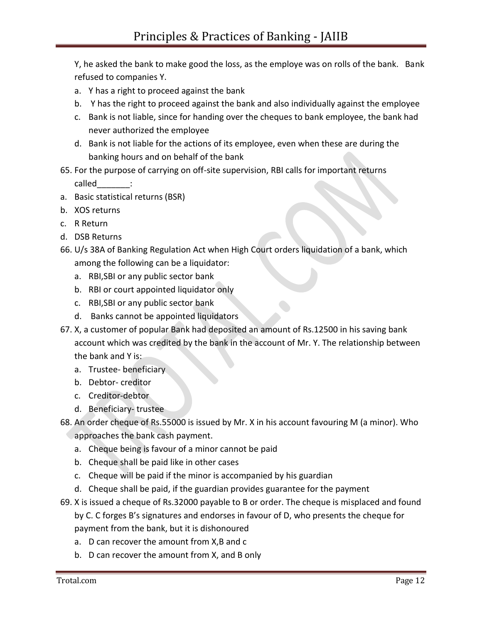Y, he asked the bank to make good the loss, as the employe was on rolls of the bank. Bank refused to companies Y.

- a. Y has a right to proceed against the bank
- b. Y has the right to proceed against the bank and also individually against the employee
- c. Bank is not liable, since for handing over the cheques to bank employee, the bank had never authorized the employee
- d. Bank is not liable for the actions of its employee, even when these are during the banking hours and on behalf of the bank
- 65. For the purpose of carrying on off-site supervision, RBI calls for important returns called :
- a. Basic statistical returns (BSR)
- b. XOS returns
- c. R Return
- d. DSB Returns
- 66. U/s 38A of Banking Regulation Act when High Court orders liquidation of a bank, which among the following can be a liquidator:
	- a. RBI,SBI or any public sector bank
	- b. RBI or court appointed liquidator only
	- c. RBI,SBI or any public sector bank
	- d. Banks cannot be appointed liquidators
- 67. X, a customer of popular Bank had deposited an amount of Rs.12500 in his saving bank account which was credited by the bank in the account of Mr. Y. The relationship between the bank and Y is:
	- a. Trustee- beneficiary
	- b. Debtor- creditor
	- c. Creditor-debtor
	- d. Beneficiary- trustee
- 68. An order cheque of Rs.55000 is issued by Mr. X in his account favouring M (a minor). Who approaches the bank cash payment.
	- a. Cheque being is favour of a minor cannot be paid
	- b. Cheque shall be paid like in other cases
	- c. Cheque will be paid if the minor is accompanied by his guardian
	- d. Cheque shall be paid, if the guardian provides guarantee for the payment
- 69. X is issued a cheque of Rs.32000 payable to B or order. The cheque is misplaced and found by C. C forges B's signatures and endorses in favour of D, who presents the cheque for payment from the bank, but it is dishonoured
	- a. D can recover the amount from X,B and c
	- b. D can recover the amount from X, and B only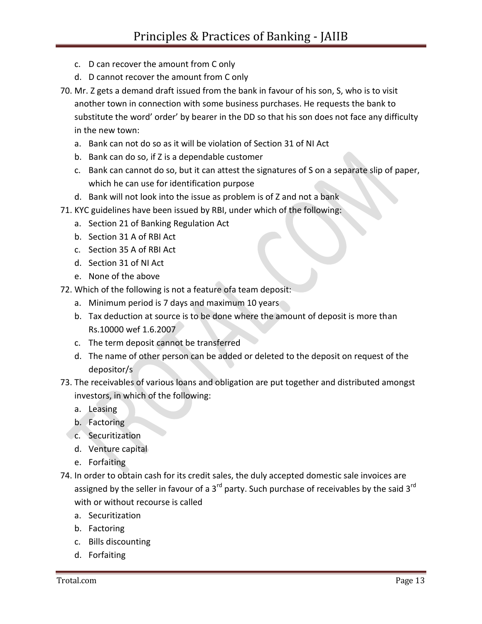- c. D can recover the amount from C only
- d. D cannot recover the amount from C only
- 70. Mr. Z gets a demand draft issued from the bank in favour of his son, S, who is to visit another town in connection with some business purchases. He requests the bank to substitute the word' order' by bearer in the DD so that his son does not face any difficulty in the new town:
	- a. Bank can not do so as it will be violation of Section 31 of NI Act
	- b. Bank can do so, if Z is a dependable customer
	- c. Bank can cannot do so, but it can attest the signatures of S on a separate slip of paper, which he can use for identification purpose
	- d. Bank will not look into the issue as problem is of Z and not a bank
- 71. KYC guidelines have been issued by RBI, under which of the following:
	- a. Section 21 of Banking Regulation Act
	- b. Section 31 A of RBI Act
	- c. Section 35 A of RBI Act
	- d. Section 31 of NI Act
	- e. None of the above
- 72. Which of the following is not a feature ofa team deposit:
	- a. Minimum period is 7 days and maximum 10 years
	- b. Tax deduction at source is to be done where the amount of deposit is more than Rs.10000 wef 1.6.2007
	- c. The term deposit cannot be transferred
	- d. The name of other person can be added or deleted to the deposit on request of the depositor/s
- 73. The receivables of various loans and obligation are put together and distributed amongst investors, in which of the following:
	- a. Leasing
	- b. Factoring
	- c. Securitization
		- d. Venture capital
		- e. Forfaiting
- 74. In order to obtain cash for its credit sales, the duly accepted domestic sale invoices are assigned by the seller in favour of a 3 $^{rd}$  party. Such purchase of receivables by the said 3 $^{rd}$ with or without recourse is called
	- a. Securitization
	- b. Factoring
	- c. Bills discounting
	- d. Forfaiting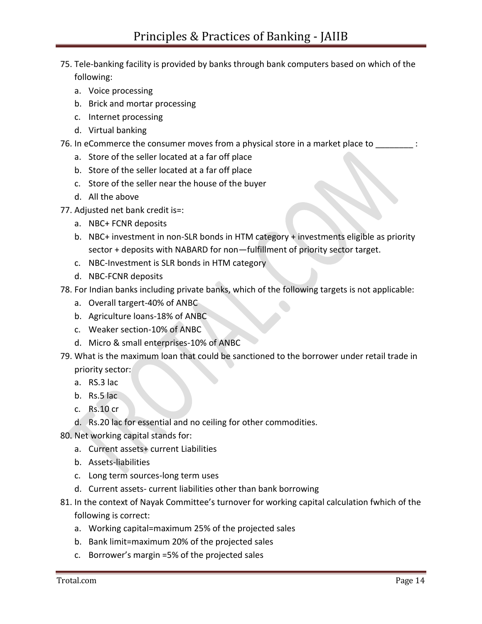## 75. Tele-banking facility is provided by banks through bank computers based on which of the following:

- a. Voice processing
- b. Brick and mortar processing
- c. Internet processing
- d. Virtual banking
- 76. In eCommerce the consumer moves from a physical store in a market place to  $\cdot$ 
	- a. Store of the seller located at a far off place
	- b. Store of the seller located at a far off place
	- c. Store of the seller near the house of the buyer
	- d. All the above
- 77. Adjusted net bank credit is=:
	- a. NBC+ FCNR deposits
	- b. NBC+ investment in non-SLR bonds in HTM category + investments eligible as priority sector + deposits with NABARD for non—fulfillment of priority sector target.
	- c. NBC-Investment is SLR bonds in HTM category
	- d. NBC-FCNR deposits
- 78. For Indian banks including private banks, which of the following targets is not applicable:
	- a. Overall targert-40% of ANBC
	- b. Agriculture loans-18% of ANBC
	- c. Weaker section-10% of ANBC
	- d. Micro & small enterprises-10% of ANBC
- 79. What is the maximum loan that could be sanctioned to the borrower under retail trade in priority sector:
	- a. RS.3 lac
	- b. Rs.5 lac
	- c. Rs.10 cr
	- d. Rs.20 lac for essential and no ceiling for other commodities.
- 80. Net working capital stands for:
	- a. Current assets+ current Liabilities
	- b. Assets-liabilities
	- c. Long term sources-long term uses
	- d. Current assets- current liabilities other than bank borrowing
- 81. In the context of Nayak Committee's turnover for working capital calculation fwhich of the following is correct:
	- a. Working capital=maximum 25% of the projected sales
	- b. Bank limit=maximum 20% of the projected sales
	- c. Borrower's margin =5% of the projected sales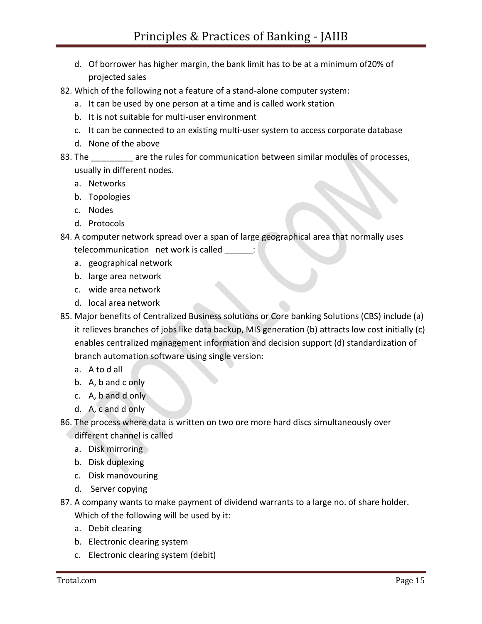- d. Of borrower has higher margin, the bank limit has to be at a minimum of20% of projected sales
- 82. Which of the following not a feature of a stand-alone computer system:
	- a. It can be used by one person at a time and is called work station
	- b. It is not suitable for multi-user environment
	- c. It can be connected to an existing multi-user system to access corporate database
	- d. None of the above
- 83. The \_\_\_\_\_\_\_\_ are the rules for communication between similar modules of processes, usually in different nodes.
	- a. Networks
	- b. Topologies
	- c. Nodes
	- d. Protocols
- 84. A computer network spread over a span of large geographical area that normally uses telecommunication net work is called \_\_\_\_\_\_:
	- a. geographical network
	- b. large area network
	- c. wide area network
	- d. local area network
- 85. Major benefits of Centralized Business solutions or Core banking Solutions (CBS) include (a) it relieves branches of jobs like data backup, MIS generation (b) attracts low cost initially (c) enables centralized management information and decision support (d) standardization of branch automation software using single version:
	- a. A to d all
	- b. A, b and c only
	- c. A, b and d only
	- d. A, c and d only
- 86. The process where data is written on two ore more hard discs simultaneously over different channel is called
	- a. Disk mirroring
	- b. Disk duplexing
	- c. Disk manovouring
	- d. Server copying
- 87. A company wants to make payment of dividend warrants to a large no. of share holder. Which of the following will be used by it:
	- a. Debit clearing
	- b. Electronic clearing system
	- c. Electronic clearing system (debit)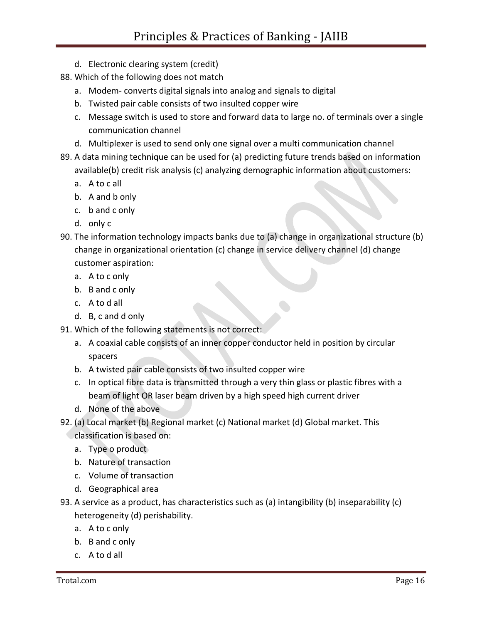- d. Electronic clearing system (credit)
- 88. Which of the following does not match
	- a. Modem- converts digital signals into analog and signals to digital
	- b. Twisted pair cable consists of two insulted copper wire
	- c. Message switch is used to store and forward data to large no. of terminals over a single communication channel
	- d. Multiplexer is used to send only one signal over a multi communication channel
- 89. A data mining technique can be used for (a) predicting future trends based on information available(b) credit risk analysis (c) analyzing demographic information about customers:
	- a. A to c all
	- b. A and b only
	- c. b and c only
	- d. only c
- 90. The information technology impacts banks due to (a) change in organizational structure (b) change in organizational orientation (c) change in service delivery channel (d) change customer aspiration:
	- a. A to c only
	- b. B and c only
	- c. A to d all
	- d. B, c and d only
- 91. Which of the following statements is not correct:
	- a. A coaxial cable consists of an inner copper conductor held in position by circular spacers
	- b. A twisted pair cable consists of two insulted copper wire
	- c. In optical fibre data is transmitted through a very thin glass or plastic fibres with a beam of light OR laser beam driven by a high speed high current driver
	- d. None of the above
- 92. (a) Local market (b) Regional market (c) National market (d) Global market. This classification is based on:
	- a. Type o product
	- b. Nature of transaction
	- c. Volume of transaction
	- d. Geographical area
- 93. A service as a product, has characteristics such as (a) intangibility (b) inseparability (c) heterogeneity (d) perishability.
	- a. A to c only
	- b. B and c only
	- c. A to d all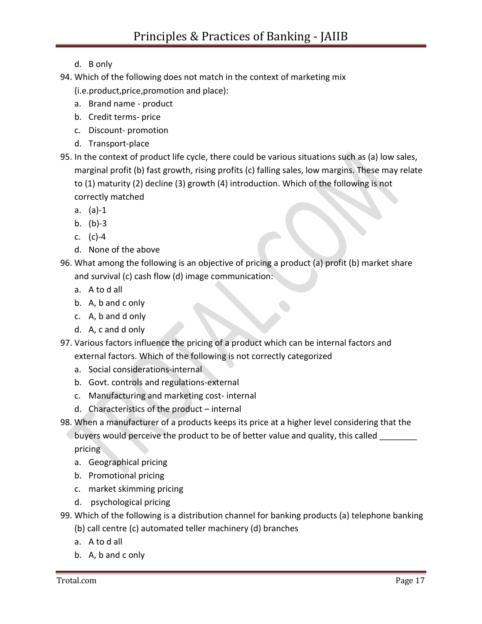- d. B only
- 94. Which of the following does not match in the context of marketing mix
	- (i.e.product,price,promotion and place):
	- a. Brand name product
	- b. Credit terms- price
	- c. Discount- promotion
	- d. Transport-place
- 95. In the context of product life cycle, there could be various situations such as (a) low sales, marginal profit (b) fast growth, rising profits (c) falling sales, low margins. These may relate to (1) maturity (2) decline (3) growth (4) introduction. Which of the following is not correctly matched
	- a. (a)-1
	- b. (b)-3
	- c. (c)-4
	- d. None of the above
- 96. What among the following is an objective of pricing a product (a) profit (b) market share and survival (c) cash flow (d) image communication:
	- a. A to d all
	- b. A, b and c only
	- c. A, b and d only
	- d. A, c and d only
- 97. Various factors influence the pricing of a product which can be internal factors and external factors. Which of the following is not correctly categorized
	- a. Social considerations-internal
	- b. Govt. controls and regulations-external
	- c. Manufacturing and marketing cost- internal
	- d. Characteristics of the product internal
- 98. When a manufacturer of a products keeps its price at a higher level considering that the buyers would perceive the product to be of better value and quality, this called pricing
	- a. Geographical pricing
	- b. Promotional pricing
	- c. market skimming pricing
	- d. psychological pricing
- 99. Which of the following is a distribution channel for banking products (a) telephone banking
	- (b) call centre (c) automated teller machinery (d) branches
	- a. A to d all
	- b. A, b and c only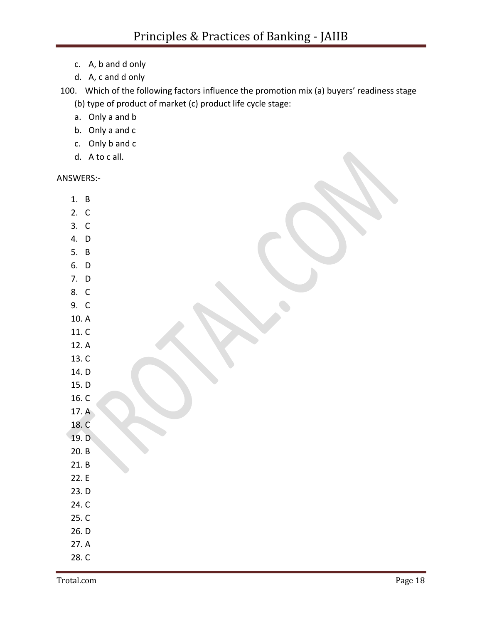- c. A, b and d only
- d. A, c and d only

100. Which of the following factors influence the promotion mix (a) buyers' readiness stage

- (b) type of product of market (c) product life cycle stage:
- a. Only a and b
- b. Only a and c
- c. Only b and c
- d. A to c all.

ANSWERS:-

- 1. B
- 2. C
- 3. C
- 4. D
- 5. B
- 6. D
- 7. D
- 8. C
- 9. C
- 10. A
- 11. C
- 12. A
- 13. C
- 14. D
- 15. D
- 16. C
- 17. A
- 18. C
- 19. D
- 20. B
- 21. B
- 22. E
- 23. D
- 24. C
- 25. C
- 26. D
- 27. A
- 28. C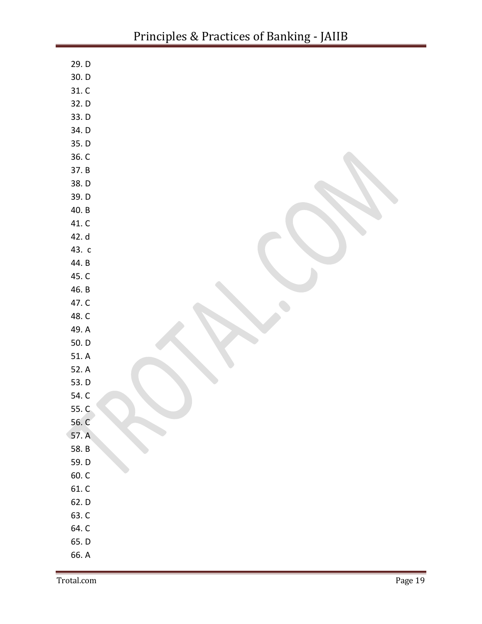| 29. D          |  |
|----------------|--|
| 30. D          |  |
| 31. C          |  |
| 32. D          |  |
| 33.D           |  |
| 34. D          |  |
| 35. D          |  |
| 36. C          |  |
| 37. B          |  |
| 38.D           |  |
| 39. D          |  |
| 40. B          |  |
| 41. C          |  |
| 42. d          |  |
| 43. c          |  |
| 44. B          |  |
| 45. C          |  |
| 46. B          |  |
| 47. C          |  |
| 48. C          |  |
| 49. A          |  |
| 50. D          |  |
| 51. A          |  |
| 52. A          |  |
| 53. D          |  |
| 54. C          |  |
| 55. C          |  |
| 56. C<br>57. A |  |
| 58. B          |  |
| 59.D           |  |
| 60. C          |  |
| $61. C$        |  |
| 62.D           |  |
| 63. C          |  |
| 64. C          |  |
| 65.D           |  |
| 66. A          |  |